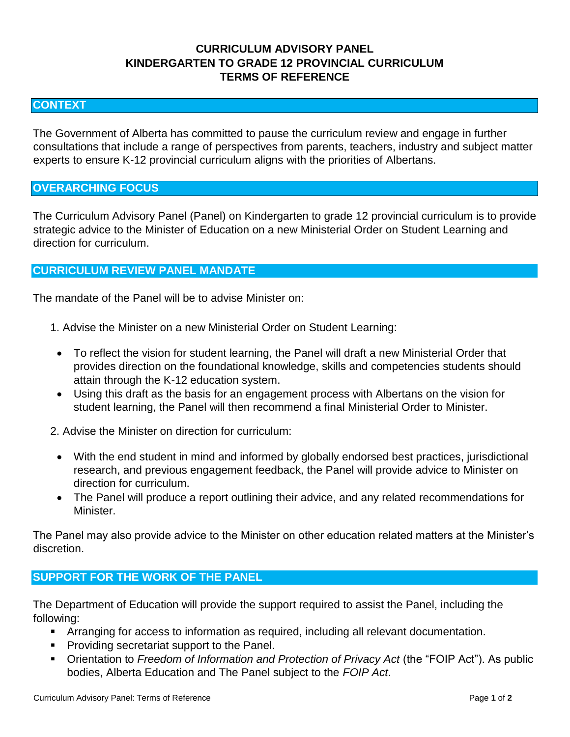# **CURRICULUM ADVISORY PANEL KINDERGARTEN TO GRADE 12 PROVINCIAL CURRICULUM TERMS OF REFERENCE**

### **CONTEXT**

The Government of Alberta has committed to pause the curriculum review and engage in further consultations that include a range of perspectives from parents, teachers, industry and subject matter experts to ensure K-12 provincial curriculum aligns with the priorities of Albertans.

### **OVERARCHING FOCUS**

The Curriculum Advisory Panel (Panel) on Kindergarten to grade 12 provincial curriculum is to provide strategic advice to the Minister of Education on a new Ministerial Order on Student Learning and direction for curriculum.

### **CURRICULUM REVIEW PANEL MANDATE**

The mandate of the Panel will be to advise Minister on:

- 1. Advise the Minister on a new Ministerial Order on Student Learning:
- To reflect the vision for student learning, the Panel will draft a new Ministerial Order that provides direction on the foundational knowledge, skills and competencies students should attain through the K-12 education system.
- Using this draft as the basis for an engagement process with Albertans on the vision for student learning, the Panel will then recommend a final Ministerial Order to Minister.
- 2. Advise the Minister on direction for curriculum:
	- With the end student in mind and informed by globally endorsed best practices, jurisdictional research, and previous engagement feedback, the Panel will provide advice to Minister on direction for curriculum.
	- The Panel will produce a report outlining their advice, and any related recommendations for Minister.

The Panel may also provide advice to the Minister on other education related matters at the Minister's discretion.

## **SUPPORT FOR THE WORK OF THE PANEL**

The Department of Education will provide the support required to assist the Panel, including the following:

- Arranging for access to information as required, including all relevant documentation.
- **Providing secretariat support to the Panel.**
- Orientation to *Freedom of Information and Protection of Privacy Act* (the "FOIP Act"). As public bodies, Alberta Education and The Panel subject to the *FOIP Act*.